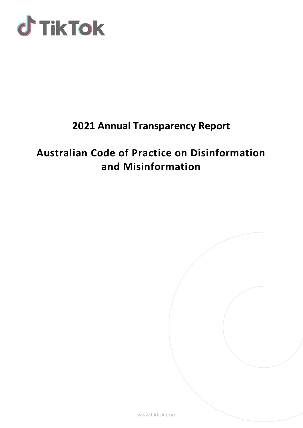

# **2021 Annual Transparency Report**

# **Australian Code of Practice on Disinformation and Misinformation**

www.tiktok.com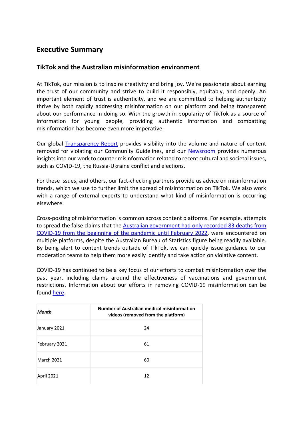### **Executive Summary**

### **TikTok and the Australian misinformation environment**

At TikTok, our mission is to inspire creativity and bring joy. We're passionate about earning the trust of our community and strive to build it responsibly, equitably, and openly. An important element of trust is authenticity, and we are committed to helping authenticity thrive by both rapidly addressing misinformation on our platform and being transparent about our performance in doing so. With the growth in popularity of TikTok as a source of information for young people, providing authentic information and combatting misinformation has become even more imperative.

Our global [Transparency Report](https://www.tiktok.com/transparency/en/reports/) provides visibility into the volume and nature of content removed for violating our Community Guidelines, and our [Newsroom](https://newsroom.tiktok.com/en-au) provides numerous insights into our work to counter misinformation related to recent cultural and societal issues, such as COVID-19, the Russia-Ukraine conflict and elections.

For these issues, and others, our fact-checking partners provide us advice on misinformation trends, which we use to further limit the spread of misinformation on TikTok. We also work with a range of external experts to understand what kind of misinformation is occurring elsewhere.

Cross-posting of misinformation is common across content platforms. For example, attempts to spread the false claims that the [Australian government had only recorded 83 deaths from](https://factcheck.afp.com/doc.afp.com.323L6Z2)  [COVID-19 from the beginning of the pandemic until February 2022,](https://factcheck.afp.com/doc.afp.com.323L6Z2) were encountered on multiple platforms, despite the Australian Bureau of Statistics figure being readily available. By being alert to content trends outside of TikTok, we can quickly issue guidance to our moderation teams to help them more easily identify and take action on violative content.

COVID-19 has continued to be a key focus of our efforts to combat misinformation over the past year, including claims around the effectiveness of vaccinations and government restrictions. Information about our efforts in removing COVID-19 misinformation can be found [here.](https://newsroom.tiktok.com/en-au/taking-action-against-covid-19-vaccine-misinformation-au)

| <b>Month</b>      | Number of Australian medical misinformation<br>videos (removed from the platform) |
|-------------------|-----------------------------------------------------------------------------------|
| January 2021      | 24                                                                                |
| February 2021     | 61                                                                                |
| <b>March 2021</b> | 60                                                                                |
| April 2021        | 12                                                                                |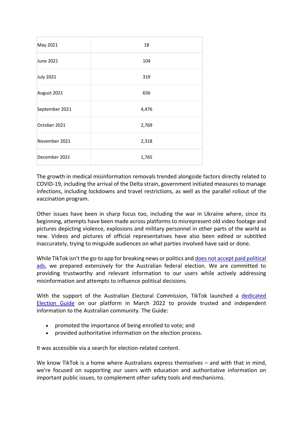| May 2021         | 18    |
|------------------|-------|
| June 2021        | 104   |
| <b>July 2021</b> | 319   |
| August 2021      | 656   |
| September 2021   | 4,476 |
| October 2021     | 2,769 |
| November 2021    | 2,318 |
| December 2021    | 1,765 |

The growth in medical misinformation removals trended alongside factors directly related to COVID-19, including the arrival of the Delta strain, government initiated measures to manage infections, including lockdowns and travel restrictions, as well as the parallel rollout of the vaccination program.

Other issues have been in sharp focus too, including the war in Ukraine where, since its beginning, attempts have been made across platforms to misrepresent old video footage and pictures depicting violence, explosions and military personnel in other parts of the world as new. Videos and pictures of official representatives have also been edited or subtitled inaccurately, trying to misguide audiences on what parties involved have said or done.

While TikTok isn't the go-to app for breaking news or politics an[d does not accept paid political](https://newsroom.tiktok.com/en-us/understanding-our-policies-around-paid-ads)  [ads,](https://newsroom.tiktok.com/en-us/understanding-our-policies-around-paid-ads) we prepared extensively for the Australian federal election. We are committed to providing trustworthy and relevant information to our users while actively addressing misinformation and attempts to influence political decisions.

With the support of the Australian Electoral Commission, TikTok launched a [dedicated](https://newsroom.tiktok.com/en-au/tiktok-launches-2022-federal-election-guide-with-the-australian-electoral-commission)  [Election Guide](https://newsroom.tiktok.com/en-au/tiktok-launches-2022-federal-election-guide-with-the-australian-electoral-commission) on our platform in March 2022 to provide trusted and independent information to the Australian community. The Guide:

- promoted the importance of being enrolled to vote; and
- provided authoritative information on the election process.

It was accessible via a search for election-related content.

We know TikTok is a home where Australians express themselves – and with that in mind, we're focused on supporting our users with education and authoritative information on important public issues, to complement other safety tools and mechanisms.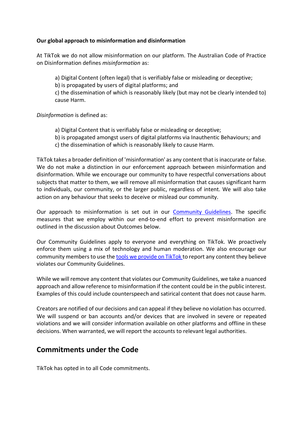#### **Our global approach to misinformation and disinformation**

At TikTok we do not allow misinformation on our platform. The Australian Code of Practice on Disinformation defines *misinformation* as:

a) Digital Content (often legal) that is verifiably false or misleading or deceptive;

b) is propagated by users of digital platforms; and

c) the dissemination of which is reasonably likely (but may not be clearly intended to) cause Harm.

*Disinformation* is defined as:

- a) Digital Content that is verifiably false or misleading or deceptive;
- b) is propagated amongst users of digital platforms via Inauthentic Behaviours; and
- c) the dissemination of which is reasonably likely to cause Harm.

TikTok takes a broader definition of 'misinformation' as any content that is inaccurate or false. We do not make a distinction in our enforcement approach between misinformation and disinformation. While we encourage our community to have respectful conversations about subjects that matter to them, we will remove all misinformation that causes significant harm to individuals, our community, or the larger public, regardless of intent. We will also take action on any behaviour that seeks to deceive or mislead our community.

Our approach to misinformation is set out in our [Community Guidelines.](https://www.tiktok.com/community-guidelines?lang=en) The specific measures that we employ within our end-to-end effort to prevent misinformation are outlined in the discussion about Outcomes below.

Our Community Guidelines apply to everyone and everything on TikTok. We proactively enforce them using a mix of technology and human moderation. We also encourage our community members to use the [tools we provide on TikTok t](https://support.tiktok.com/en/safety-hc/report-a-problem)o report any content they believe violates our Community Guidelines.

While we will remove any content that violates our Community Guidelines, we take a nuanced approach and allow reference to misinformation if the content could be in the public interest. Examples of this could include counterspeech and satirical content that does not cause harm.

Creators are notified of our decisions and can appeal if they believe no violation has occurred. We will suspend or ban accounts and/or devices that are involved in severe or repeated violations and we will consider information available on other platforms and offline in these decisions. When warranted, we will report the accounts to relevant legal authorities.

### **Commitments under the Code**

TikTok has opted in to all Code commitments.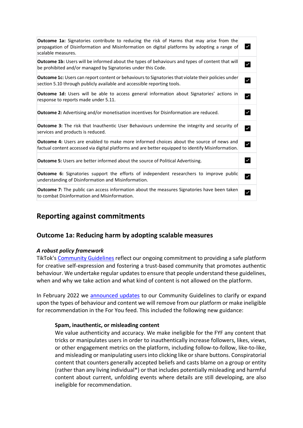| <b>Outcome 1a:</b> Signatories contribute to reducing the risk of Harms that may arise from the<br>propagation of Disinformation and Misinformation on digital platforms by adopting a range of<br>scalable measures. |                      |
|-----------------------------------------------------------------------------------------------------------------------------------------------------------------------------------------------------------------------|----------------------|
| <b>Outcome 1b:</b> Users will be informed about the types of behaviours and types of content that will<br>be prohibited and/or managed by Signatories under this Code.                                                | $\checkmark$         |
| Outcome 1c: Users can report content or behaviours to Signatories that violate their policies under<br>section 5.10 through publicly available and accessible reporting tools.                                        | $\checkmark$         |
| <b>Outcome 1d:</b> Users will be able to access general information about Signatories' actions in<br>response to reports made under 5.11.                                                                             | $\checkmark$         |
| <b>Outcome 2:</b> Advertising and/or monetisation incentives for Disinformation are reduced.                                                                                                                          | $\checkmark$         |
| <b>Outcome 3:</b> The risk that Inauthentic User Behaviours undermine the integrity and security of<br>services and products is reduced.                                                                              |                      |
| <b>Outcome 4:</b> Users are enabled to make more informed choices about the source of news and<br>factual content accessed via digital platforms and are better equipped to identify Misinformation.                  | $\blacktriangledown$ |
| <b>Outcome 5:</b> Users are better informed about the source of Political Advertising.                                                                                                                                | $\checkmark$         |
| <b>Outcome 6:</b> Signatories support the efforts of independent researchers to improve public<br>understanding of Disinformation and Misinformation.                                                                 |                      |
| <b>Outcome 7:</b> The public can access information about the measures Signatories have been taken<br>to combat Disinformation and Misinformation.                                                                    |                      |

### **Reporting against commitments**

### **Outcome 1a: Reducing harm by adopting scalable measures**

#### *A robust policy framework*

TikTok's [Community Guidelines](https://www.tiktok.com/community-guidelines) reflect our ongoing commitment to providing a safe platform for creative self-expression and fostering a trust-based community that promotes authentic behaviour. We undertake regular updates to ensure that people understand these guidelines, when and why we take action and what kind of content is not allowed on the platform.

In February 2022 we [announced updates](https://newsroom.tiktok.com/en-au/strengthening-our-policies-to-promote-safety-security-and-wellbeing-on-tiktok-au) to our Community Guidelines to clarify or expand upon the types of behaviour and content we will remove from our platform or make ineligible for recommendation in the For You feed. This included the following new guidance:

#### **Spam, inauthentic, or misleading content**

We value authenticity and accuracy. We make ineligible for the FYF any content that tricks or manipulates users in order to inauthentically increase followers, likes, views, or other engagement metrics on the platform, including follow-to-follow, like-to-like, and misleading or manipulating users into clicking like or share buttons. Conspiratorial content that counters generally accepted beliefs and casts blame on a group or entity (rather than any living individual\*) or that includes potentially misleading and harmful content about current, unfolding events where details are still developing, are also ineligible for recommendation.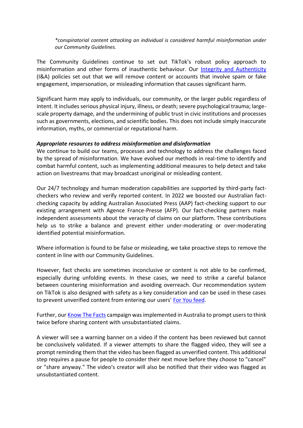*\*conspiratorial content attacking an individual is considered harmful misinformation under our Community Guidelines.*

The Community Guidelines continue to set out TikTok's robust policy approach to misinformation and other forms of inauthentic behaviour. Our [Integrity and Authenticity](https://www.tiktok.com/community-guidelines?lang=en#37) (I&A) policies set out that we will remove content or accounts that involve spam or fake engagement, impersonation, or misleading information that causes significant harm.

Significant harm may apply to individuals, our community, or the larger public regardless of intent. It includes serious physical injury, illness, or death; severe psychological trauma; largescale property damage, and the undermining of public trust in civic institutions and processes such as governments, elections, and scientific bodies. This does not include simply inaccurate information, myths, or commercial or reputational harm.

#### *Appropriate resources to address misinformation and disinformation*

We continue to build our teams, processes and technology to address the challenges faced by the spread of misinformation. We have evolved our methods in real-time to identify and combat harmful content, such as implementing additional measures to help detect and take action on livestreams that may broadcast unoriginal or misleading content.

Our 24/7 technology and human moderation capabilities are supported by third-party factcheckers who review and verify reported content. In 2022 we boosted our Australian factchecking capacity by adding Australian Associated Press (AAP) fact-checking support to our existing arrangement with Agence France-Presse (AFP). Our fact-checking partners make independent assessments about the veracity of claims on our platform. These contributions help us to strike a balance and prevent either under-moderating or over-moderating identified potential misinformation.

Where information is found to be false or misleading, we take proactive steps to remove the content in line with our Community Guidelines.

However, fact checks are sometimes inconclusive or content is not able to be confirmed, especially during unfolding events. In these cases, we need to strike a careful balance between countering misinformation and avoiding overreach. Our recommendation system on TikTok is also designed with safety as a key consideration and can be used in these cases to prevent unverified content from entering our users' [For You feed.](https://newsroom.tiktok.com/en-us/how-tiktok-recommends-videos-for-you)

Further, our [Know The Facts](https://newsroom.tiktok.com/en-au/new-prompts-to-help-people-consider-before-they-share-au) campaign was implemented in Australia to prompt users to think twice before sharing content with unsubstantiated claims.

A viewer will see a warning banner on a video if the content has been reviewed but cannot be conclusively validated. If a viewer attempts to share the flagged video, they will see a prompt reminding them that the video has been flagged as unverified content. This additional step requires a pause for people to consider their next move before they choose to "cancel" or "share anyway." The video's creator will also be notified that their video was flagged as unsubstantiated content.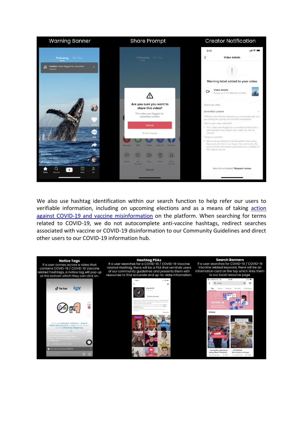| <b>Warning Banner</b>                             | <b>Share Prompt</b>                                                                                                  | <b>Creator Notification</b>                                                                                                                                                                 |
|---------------------------------------------------|----------------------------------------------------------------------------------------------------------------------|---------------------------------------------------------------------------------------------------------------------------------------------------------------------------------------------|
| Following<br>For You                              | Following For You                                                                                                    | 9:41<br><b>Video details</b>                                                                                                                                                                |
| Caution: Video flagged for unverified<br>content. |                                                                                                                      |                                                                                                                                                                                             |
|                                                   |                                                                                                                      | Warning label added to your video<br>Video details<br>Posted on (YYYY-MM-DD) at (TIME)                                                                                                      |
|                                                   | Are you sure you want to<br>share this video?                                                                        | About your video                                                                                                                                                                            |
|                                                   | This video was flagged for<br>unverified content.                                                                    | Unverified content<br>TikTok is committed to keeping our community safe and                                                                                                                 |
|                                                   |                                                                                                                      | preventing the spread of unverified information.<br>How is your video affected?                                                                                                             |
|                                                   | Cancel                                                                                                               | . Your video was flagged for unverified content and a                                                                                                                                       |
|                                                   | Share anyway                                                                                                         | warning label was added. Your video can still be<br>viewed.                                                                                                                                 |
|                                                   |                                                                                                                      | Things to consider:                                                                                                                                                                         |
|                                                   | Facations<br><b>Copy Limi</b>                                                                                        | . We're asking creators to be thoughtful about what<br>they post and how it can impact the community. Be<br>sure to verify information and check the credibility of<br>the original source. |
| <b>uscifans</b>                                   | (O<br>圓                                                                                                              |                                                                                                                                                                                             |
| today Hearned<br>1 original sound - serions       | <b>Build</b><br><b>Bupart</b><br>Not<br><b>Dunt</b><br>Add to<br><b>PROFESSION</b><br><b><i><u>Havendard</u></i></b> |                                                                                                                                                                                             |
| ۵                                                 | Cancel                                                                                                               | Was this a mistake? Request review                                                                                                                                                          |

We also use hashtag identification within our search function to help refer our users to verifiable information, including on upcoming elections and as a means of taking action [against COVID-19 and vaccine misinformation](https://newsroom.tiktok.com/en-au/taking-action-against-covid-19-vaccine-misinformation-au) on the platform. When searching for terms related to COVID-19, we do not autocomplete anti-vaccine hashtags, redirect searches associated with vaccine or COVID-19 disinformation to our Community Guidelines and direct other users to our COVID-19 information hub.

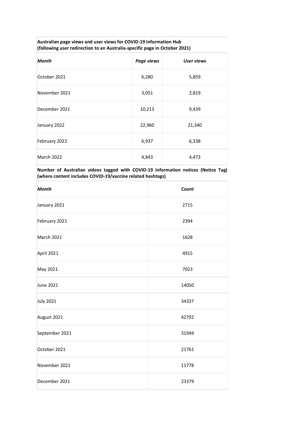#### **Australian page views and user views for COVID-19 Information Hub (following user redirection to an Australia-specific page in October 2021)**

| <b>Month</b>  | Page views | <b>User views</b> |
|---------------|------------|-------------------|
| October 2021  | 6,280      | 5,859             |
| November 2021 | 3,051      | 2,819             |
| December 2021 | 10,213     | 9,439             |
| January 2022  | 22,960     | 21,340            |
| February 2022 | 6,937      | 6,338             |
| March 2022    | 4,843      | 4,473             |

#### **Number of Australian videos tagged with COVID-19 information notices (Notice Tag) (where content includes COVID-19/vaccine related hashtags)**

| <b>Month</b>     | Count |
|------------------|-------|
| January 2021     | 2715  |
| February 2021    | 2394  |
| March 2021       | 1628  |
| April 2021       | 4915  |
| May 2021         | 7023  |
| June 2021        | 14050 |
| <b>July 2021</b> | 34337 |
| August 2021      | 42792 |
| September 2021   | 31949 |
| October 2021     | 21761 |
| November 2021    | 11778 |
| December 2021    | 23379 |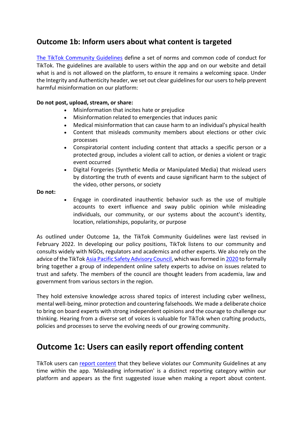### **Outcome 1b: Inform users about what content is targeted**

[The TikTok Community Guidelines](https://www.tiktok.com/community-guidelines?lang=en#37) define a set of norms and common code of conduct for TikTok. The guidelines are available to users within the app and on our website and detail what is and is not allowed on the platform, to ensure it remains a welcoming space. Under the Integrity and Authenticity header, we set out clear guidelines for our users to help prevent harmful misinformation on our platform:

#### **Do not post, upload, stream, or share:**

- Misinformation that incites hate or prejudice
- Misinformation related to emergencies that induces panic
- Medical misinformation that can cause harm to an individual's physical health
- Content that misleads community members about elections or other civic processes
- Conspiratorial content including content that attacks a specific person or a protected group, includes a violent call to action, or denies a violent or tragic event occurred
- Digital Forgeries (Synthetic Media or Manipulated Media) that mislead users by distorting the truth of events and cause significant harm to the subject of the video, other persons, or society

#### **Do not:**

• Engage in coordinated inauthentic behavior such as the use of multiple accounts to exert influence and sway public opinion while misleading individuals, our community, or our systems about the account's identity, location, relationships, popularity, or purpose

As outlined under Outcome 1a, the TikTok Community Guidelines were last revised in February 2022. In developing our policy positions, TikTok listens to our community and consults widely with NGOs, regulators and academics and other experts. We also rely on the advice of the TikTo[k Asia Pacific Safety Advisory Council,](https://www.tiktok.com/safety/resources/tiktok-safety-advisory-council) which was formed in [2020](https://newsroom.tiktok.com/en-sg/tiktok-apac-safety-advisory-council) to formally bring together a group of independent online safety experts to advise on issues related to trust and safety. The members of the council are thought leaders from academia, law and government from various sectors in the region.

They hold extensive knowledge across shared topics of interest including cyber wellness, mental well-being, minor protection and countering falsehoods. We made a deliberate choice to bring on board experts with strong independent opinions and the courage to challenge our thinking. Hearing from a diverse set of voices is valuable for TikTok when crafting products, policies and processes to serve the evolving needs of our growing community.

## **Outcome 1c: Users can easily report offending content**

TikTok users can [report content](https://support.tiktok.com/en/safety-hc/report-a-problem/report-a-video) that they believe violates our Community Guidelines at any time within the app. 'Misleading information' is a distinct reporting category within our platform and appears as the first suggested issue when making a report about content.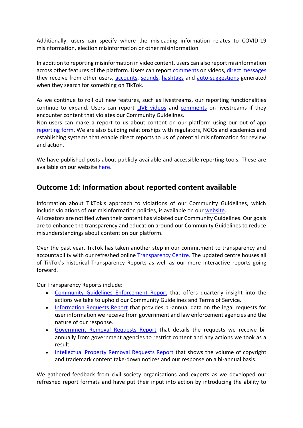Additionally, users can specify where the misleading information relates to COVID-19 misinformation, election misinformation or other misinformation.

In addition to reporting misinformation in video content, users can also report misinformation across other features of the platform. Users can report [comments](https://support.tiktok.com/en/safety-hc/report-a-problem/report-a-comment) on videos[, direct messages](https://support.tiktok.com/en/safety-hc/report-a-problem/report-a-direct-message) they receive from other users, [accounts,](https://support.tiktok.com/en/safety-hc/report-a-problem/report-a-user) [sounds,](https://support.tiktok.com/en/safety-hc/report-a-problem/report-a-sound) [hashtags](https://support.tiktok.com/en/safety-hc/report-a-problem/report-a-hashtag) and [auto-suggestions](https://support.tiktok.com/en/safety-hc/report-a-problem/report-a-suggestion) generated when they search for something on TikTok.

As we continue to roll out new features, such as livestreams, our reporting functionalities continue to expand. Users can report [LIVE videos](https://support.tiktok.com/en/safety-hc/report-a-problem/report-a-live-video) and [comments](https://support.tiktok.com/en/safety-hc/report-a-problem/report-a-live-comment) on livestreams if they encounter content that violates our Community Guidelines.

Non-users can make a report to us about content on our platform using our out-of-app [reporting form.](https://www.tiktok.com/legal/report/reports?lang=en) We are also building relationships with regulators, NGOs and academics and establishing systems that enable direct reports to us of potential misinformation for review and action.

We have published posts about publicly available and accessible reporting tools. These are available on our website [here.](https://newsroom.tiktok.com/en-us/building-to-support-integrity/)

### **Outcome 1d: Information about reported content available**

Information about TikTok's approach to violations of our Community Guidelines, which include violations of our misinformation policies, is available on our [website.](https://www.tiktok.com/community-guidelines?lang=en#29)

All creators are notified when their content has violated our Community Guidelines. Our goals are to enhance the transparency and education around our Community Guidelines to reduce misunderstandings about content on our platform.

Over the past year, TikTok has taken another step in our commitment to transparency and accountability with our refreshed online [Transparency Centre.](https://www.tiktok.com/transparency/en-us/) The updated centre houses all of TikTok's historical Transparency Reports as well as our more interactive reports going forward.

Our Transparency Reports include:

- [Community Guidelines Enforcement Report](https://www.tiktok.com/transparency/en-au/community-guidelines-enforcement-2021-2/) that offers quarterly insight into the actions we take to uphold our Community Guidelines and Terms of Service.
- [Information Requests Report](https://www.tiktok.com/transparency/en-au/information-requests-2021-1/) that provides bi-annual data on the legal requests for user information we receive from government and law enforcement agencies and the nature of our response.
- [Government Removal Requests Report](https://www.tiktok.com/transparency/en-au/government-removal-requests-2021-1/) that details the requests we receive biannually from government agencies to restrict content and any actions we took as a result.
- [Intellectual Property Removal Requests Report](https://www.tiktok.com/transparency/en-au/intellectual-property-removal-requests-2021-1/) that shows the volume of copyright and trademark content take-down notices and our response on a bi-annual basis.

We gathered feedback from civil society organisations and experts as we developed our refreshed report formats and have put their input into action by introducing the ability to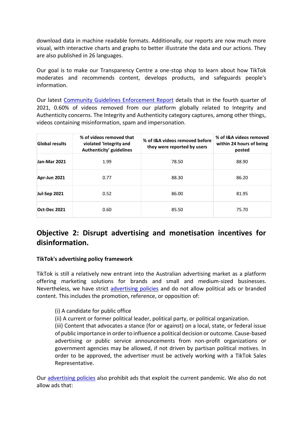download data in machine readable formats. Additionally, our reports are now much more visual, with interactive charts and graphs to better illustrate the data and our actions. They are also published in 26 languages.

Our goal is to make our Transparency Centre a one-stop shop to learn about how TikTok moderates and recommends content, develops products, and safeguards people's information.

Our latest [Community Guidelines Enforcement Report](https://www.tiktok.com/transparency/en/community-guidelines-enforcement-2021-3/) details that in the fourth quarter of 2021, 0.60% of videos removed from our platform globally related to Integrity and Authenticity concerns. The Integrity and Authenticity category captures, among other things, videos containing misinformation, spam and impersonation.

| <b>Global results</b> | % of videos removed that<br>violated 'Integrity and<br>Authenticity' guidelines | % of I&A videos removed before<br>they were reported by users | % of I&A videos removed<br>within 24 hours of being<br>posted |
|-----------------------|---------------------------------------------------------------------------------|---------------------------------------------------------------|---------------------------------------------------------------|
| Jan-Mar 2021          | 1.99                                                                            | 78.50                                                         | 88.90                                                         |
| Apr-Jun 2021          | 0.77                                                                            | 88.30                                                         | 86.20                                                         |
| <b>Jul-Sep 2021</b>   | 0.52                                                                            | 86.00                                                         | 81.95                                                         |
| <b>Oct-Dec 2021</b>   | 0.60                                                                            | 85.50                                                         | 75.70                                                         |

# **Objective 2: Disrupt advertising and monetisation incentives for disinformation.**

### **TikTok's advertising policy framework**

TikTok is still a relatively new entrant into the Australian advertising market as a platform offering marketing solutions for brands and small and medium-sized businesses. Nevertheless, we have strict [advertising policies](https://ads.tiktok.com/help/article?aid=9550) and do not allow political ads or branded content. This includes the promotion, reference, or opposition of:

(i) A candidate for public office

(ii) A current or former political leader, political party, or political organization.

(iii) Content that advocates a stance (for or against) on a local, state, or federal issue of public importance in order to influence a political decision or outcome. Cause-based advertising or public service announcements from non-profit organizations or government agencies may be allowed, if not driven by partisan political motives. In order to be approved, the advertiser must be actively working with a TikTok Sales Representative.

Our [advertising policies](https://ads.tiktok.com/help/article?aid=9552) also prohibit ads that exploit the current pandemic. We also do not allow ads that: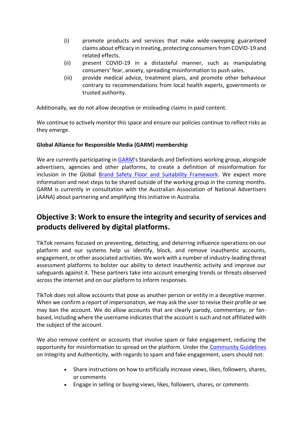- (i) promote products and services that make wide-sweeping guaranteed claims about efficacy in treating, protecting consumers from COVID-19 and related effects.
- (ii) present COVID-19 in a distasteful manner, such as manipulating consumers' fear, anxiety, spreading misinformation to push sales.
- (iii) provide medical advice, treatment plans, and promote other behaviour contrary to recommendations from local health experts, governments or trusted authority.

Additionally, we do not allow deceptive or misleading claims in paid content.

We continue to actively monitor this space and ensure our policies continue to reflect risks as they emerge.

### **Global Alliance for Responsible Media (GARM) membership**

We are currently participating in [GARM'](https://wfanet.org/garm)s Standards and Definitions working group, alongside advertisers, agencies and other platforms, to create a definition of misinformation for inclusion in the Global [Brand Safety Floor and Suitability Framework.](https://wfanet.org/l/library/download/urn:uuid:7d484745-41cd-4cce-a1b9-a1b4e30928ea/garm+brand+safety+floor+suitability+framework+23+sept.pdf) We expect more information and next steps to be shared outside of the working group in the coming months. GARM is currently in consultation with the Australian Association of National Advertisers (AANA) about partnering and amplifying this initiative in Australia.

## **Objective 3: Work to ensure the integrity and security of services and products delivered by digital platforms.**

TikTok remains focused on preventing, detecting, and deterring influence operations on our platform and our systems help us identify, block, and remove inauthentic accounts, engagement, or other associated activities. We work with a number of industry-leading threat assessment platforms to bolster our ability to detect inauthentic activity and improve our safeguards against it. These partners take into account emerging trends or threats observed across the internet and on our platform to inform responses.

TikTok does not allow accounts that pose as another person or entity in a deceptive manner. When we confirm a report of impersonation, we may ask the user to revise their profile or we may ban the account. We do allow accounts that are clearly parody, commentary, or fanbased, including where the username indicates that the account is such and not affiliated with the subject of the account.

We also remove content or accounts that involve spam or fake engagement, reducing the opportunity for misinformation to spread on the platform. Under the [Community Guidelines](https://www.tiktok.com/community-guidelines?lang=en) on Integrity and Authenticity, with regards to spam and fake engagement, users should not:

- Share instructions on how to artificially increase views, likes, followers, shares, or comments
- Engage in selling or buying views, likes, followers, shares, or comments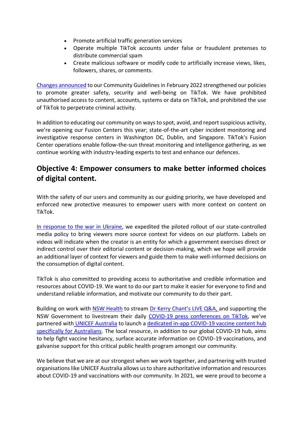- Promote artificial traffic generation services
- Operate multiple TikTok accounts under false or fraudulent pretenses to distribute commercial spam
- Create malicious software or modify code to artificially increase views, likes, followers, shares, or comments.

[Changes announced](https://newsroom.tiktok.com/en-au/strengthening-our-policies-to-promote-safety-security-and-wellbeing-on-tiktok-au) to our Community Guidelines in February 2022 strengthened our policies to promote greater safety, security and well-being on TikTok. We have prohibited unauthorised access to content, accounts, systems or data on TikTok, and prohibited the use of TikTok to perpetrate criminal activity.

In addition to educating our community on ways to spot, avoid, and report suspicious activity, we're opening our Fusion Centers this year; state-of-the-art cyber incident monitoring and investigative response centers in Washington DC, Dublin, and Singapore. TikTok's Fusion Center operations enable follow-the-sun threat monitoring and intelligence gathering, as we continue working with industry-leading experts to test and enhance our defences.

## **Objective 4: Empower consumers to make better informed choices of digital content.**

With the safety of our users and community as our guiding priority, we have developed and enforced new protective measures to empower users with more context on content on TikTok.

[In response to the war in Ukraine,](https://newsroom.tiktok.com/en-au/bringing-more-context-to-content-on-tiktok-au) we expedited the piloted rollout of our state-controlled media policy to bring viewers more source context for videos on our platform. Labels on videos will indicate when the creator is an entity for which a government exercises direct or indirect control over their editorial content or decision-making, which we hope will provide an additional layer of context for viewers and guide them to make well-informed decisions on the consumption of digital content.

TikTok is also committed to providing access to authoritative and credible information and resources about COVID-19. We want to do our part to make it easier for everyone to find and understand reliable information, and motivate our community to do their part.

Building on work with [NSW Health](https://www.tiktok.com/@nswhealth?lang=en) to stream [Dr Kerry Chant's LIVE Q&A, a](https://newsroom.tiktok.com/en-au/ask-dr-chant-tiktok-livestream)nd supporting the NSW Government to livestream their daily [COVID-19 press conferences on TikTok,](https://newsroom.tiktok.com/en-au/nsw-covid-19-press-conference-on-tiktok) we've partnered with [UNICEF Australia](https://www.tiktok.com/@unicefaustralia?lang=en) to launch a [dedicated in-app COVID-19 vaccine content hub](https://newsroom.tiktok.com/en-au/tiktok-partners-with-unicef-australia-to-launch-an-inapp-covid-19-vaccine-hub)  [specifically for Australians.](https://newsroom.tiktok.com/en-au/tiktok-partners-with-unicef-australia-to-launch-an-inapp-covid-19-vaccine-hub) The local resource, in addition to our global COVID-19 hub, aims to help fight vaccine hesitancy, surface accurate information on COVID-19 vaccinations, and galvanise support for this critical public health program amongst our community.

We believe that we are at our strongest when we work together, and partnering with trusted organisations like UNICEF Australia allows us to share authoritative information and resources about COVID-19 and vaccinations with our community. In 2021, we were proud to become a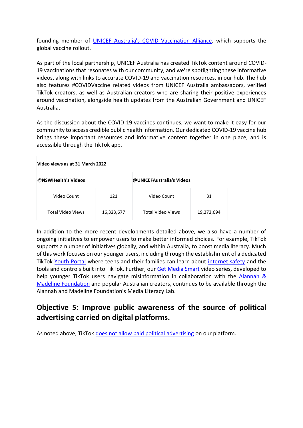founding member of [UNICEF Australia's COVID Vaccination Alliance,](https://www.unicef.org.au/about-us/media/june/covid-vaccination-alliance) which supports the global vaccine rollout.

As part of the local partnership, UNICEF Australia has created TikTok content around COVID-19 vaccinations that resonates with our community, and we're spotlighting these informative videos, along with links to accurate COVID-19 and vaccination resources, in our hub. The hub also features #COVIDVaccine related videos from UNICEF Australia ambassadors, verified TikTok creators, as well as Australian creators who are sharing their positive experiences around vaccination, alongside health updates from the Australian Government and UNICEF Australia.

As the discussion about the COVID-19 vaccines continues, we want to make it easy for our community to access credible public health information. Our dedicated COVID-19 vaccine hub brings these important resources and informative content together in one place, and is accessible through the TikTok app.

| Video views as at 31 March 2022 |            |                           |            |
|---------------------------------|------------|---------------------------|------------|
| @NSWHealth's Videos             |            | @UNICEFAustralia's Videos |            |
| Video Count                     | 121        | Video Count               | 31         |
| Total Video Views               | 16,323,677 | Total Video Views         | 19,272,694 |

In addition to the more recent developments detailed above, we also have a number of ongoing initiatives to empower users to make better informed choices. For example, TikTok supports a number of initiatives globally, and within Australia, to boost media literacy. Much of this work focuses on our younger users, including through the establishment of a dedicated TikTok [Youth Portal](https://www.tiktok.com/safety/youth-portal?lang=en) where teens and their families can learn about [internet safety](https://newsroom.tiktok.com/en-au/our-commitment-to-digital-literacy) and the tools and controls built into TikTok. Further, our [Get Media Smart](https://newsroom.tiktok.com/en-au/educating-our-community-on-esafety-and-digital-media-literacy-this-safer-internet-day) video series, developed to help younger TikTok users navigate misinformation in collaboration with the Alannah & [Madeline Foundation](https://www.amf.org.au/) and popular Australian creators, continues to be available through the Alannah and Madeline Foundation's Media Literacy Lab.

## **Objective 5: Improve public awareness of the source of political advertising carried on digital platforms.**

As noted above, TikTok [does not allow paid political advertising](https://ads.tiktok.com/help/article?aid=9550) on our platform.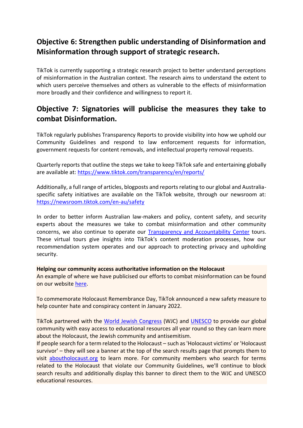# **Objective 6: Strengthen public understanding of Disinformation and Misinformation through support of strategic research.**

TikTok is currently supporting a strategic research project to better understand perceptions of misinformation in the Australian context. The research aims to understand the extent to which users perceive themselves and others as vulnerable to the effects of misinformation more broadly and their confidence and willingness to report it.

### **Objective 7: Signatories will publicise the measures they take to combat Disinformation.**

TikTok regularly publishes Transparency Reports to provide visibility into how we uphold our Community Guidelines and respond to law enforcement requests for information, government requests for content removals, and intellectual property removal requests.

Quarterly reports that outline the steps we take to keep TikTok safe and entertaining globally are available at:<https://www.tiktok.com/transparency/en/reports/>

Additionally, a full range of articles, blogposts and reports relating to our global and Australiaspecific safety initiatives are available on the TikTok website, through our newsroom at: <https://newsroom.tiktok.com/en-au/safety>

In order to better inform Australian law-makers and policy, content safety, and security experts about the measures we take to combat misinformation and other community concerns, we also continue to operate our [Transparency and Accountability Center](https://newsroom.tiktok.com/en-us/an-update-on-our-virtual-transparency-and-accountability-center-experience) tours. These virtual tours give insights into TikTok's content moderation processes, how our recommendation system operates and our approach to protecting privacy and upholding security.

#### **Helping our community access authoritative information on the Holocaust**

An example of where we have publicised our efforts to combat misinformation can be found on our website [here.](https://newsroom.tiktok.com/en-us/commemorating-holocaust-remembrance-day/)

To commemorate Holocaust Remembrance Day, TikTok announced a new safety measure to help counter hate and conspiracy content in January 2022.

TikTok partnered with the [World Jewish Congress](https://www.worldjewishcongress.org/) (WJC) and [UNESCO](https://www.unesco.org/) to provide our global community with easy access to educational resources all year round so they can learn more about the Holocaust, the Jewish community and antisemitism.

If people search for a term related to the Holocaust – such as 'Holocaust victims' or 'Holocaust survivor' – they will see a banner at the top of the search results page that prompts them to visit [aboutholocaust.org](https://aboutholocaust.org/en) to learn more. For community members who search for terms related to the Holocaust that violate our Community Guidelines, we'll continue to block search results and additionally display this banner to direct them to the WJC and UNESCO educational resources.